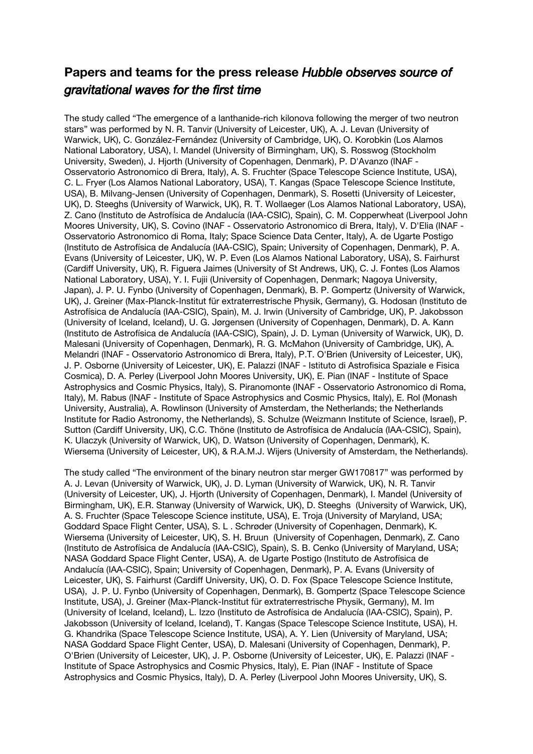## **Papers and teams for the press release** *Hubble observes source of gravitational waves for the first time*

The study called "The emergence of a lanthanide-rich kilonova following the merger of two neutron stars" was performed by N. R. Tanvir (University of Leicester, UK), A. J. Levan (University of Warwick, UK), C. González-Fernández (University of Cambridge, UK), O. Korobkin (Los Alamos National Laboratory, USA), I. Mandel (University of Birmingham, UK), S. Rosswog (Stockholm University, Sweden), J. Hjorth (University of Copenhagen, Denmark), P. D'Avanzo (INAF - Osservatorio Astronomico di Brera, Italy), A. S. Fruchter (Space Telescope Science Institute, USA), C. L. Fryer (Los Alamos National Laboratory, USA), T. Kangas (Space Telescope Science Institute, USA), B. Milvang-Jensen (University of Copenhagen, Denmark), S. Rosetti (University of Leicester, UK), D. Steeghs (University of Warwick, UK), R. T. Wollaeger (Los Alamos National Laboratory, USA), Z. Cano (Instituto de Astrofísica de Andalucía (IAA-CSIC), Spain), C. M. Copperwheat (Liverpool John Moores University, UK), S. Covino (INAF - Osservatorio Astronomico di Brera, Italy), V. D'Elia (INAF - Osservatorio Astronomico di Roma, Italy; Space Science Data Center, Italy), A. de Ugarte Postigo (Instituto de Astrofísica de Andalucía (IAA-CSIC), Spain; University of Copenhagen, Denmark), P. A. Evans (University of Leicester, UK), W. P. Even (Los Alamos National Laboratory, USA), S. Fairhurst (Cardiff University, UK), R. Figuera Jaimes (University of St Andrews, UK), C. J. Fontes (Los Alamos National Laboratory, USA), Y. I. Fujii (University of Copenhagen, Denmark; Nagoya University, Japan), J. P. U. Fynbo (University of Copenhagen, Denmark), B. P. Gompertz (University of Warwick, UK), J. Greiner (Max-Planck-Institut für extraterrestrische Physik, Germany), G. Hodosan (Instituto de Astrofísica de Andalucía (IAA-CSIC), Spain), M. J. Irwin (University of Cambridge, UK), P. Jakobsson (University of Iceland, Iceland), U. G. Jørgensen (University of Copenhagen, Denmark), D. A. Kann (Instituto de Astrofísica de Andalucía (IAA-CSIC), Spain), J. D. Lyman (University of Warwick, UK), D. Malesani (University of Copenhagen, Denmark), R. G. McMahon (University of Cambridge, UK), A. Melandri (INAF - Osservatorio Astronomico di Brera, Italy), P.T. O'Brien (University of Leicester, UK), J. P. Osborne (University of Leicester, UK), E. Palazzi (INAF - Istituto di Astrofisica Spaziale e Fisica Cosmica), D. A. Perley (Liverpool John Moores University, UK), E. Pian (INAF - Institute of Space Astrophysics and Cosmic Physics, Italy), S. Piranomonte (INAF - Osservatorio Astronomico di Roma, Italy), M. Rabus (INAF - Institute of Space Astrophysics and Cosmic Physics, Italy), E. Rol (Monash University, Australia), A. Rowlinson (University of Amsterdam, the Netherlands; the Netherlands Institute for Radio Astronomy, the Netherlands), S. Schulze (Weizmann Institute of Science, Israel), P. Sutton (Cardiff University, UK), C.C. Thöne (Instituto de Astrofísica de Andalucía (IAA-CSIC), Spain), K. Ulaczyk (University of Warwick, UK), D. Watson (University of Copenhagen, Denmark), K. Wiersema (University of Leicester, UK), & R.A.M.J. Wijers (University of Amsterdam, the Netherlands).

The study called "The environment of the binary neutron star merger GW170817" was performed by A. J. Levan (University of Warwick, UK), J. D. Lyman (University of Warwick, UK), N. R. Tanvir (University of Leicester, UK), J. Hjorth (University of Copenhagen, Denmark), I. Mandel (University of Birmingham, UK), E.R. Stanway (University of Warwick, UK), D. Steeghs (University of Warwick, UK), A. S. Fruchter (Space Telescope Science institute, USA), E. Troja (University of Maryland, USA; Goddard Space Flight Center, USA), S. L . Schrøder (University of Copenhagen, Denmark), K. Wiersema (University of Leicester, UK), S. H. Bruun (University of Copenhagen, Denmark), Z. Cano (Instituto de Astrofísica de Andalucía (IAA-CSIC), Spain), S. B. Cenko (University of Maryland, USA; NASA Goddard Space Flight Center, USA), A. de Ugarte Postigo (Instituto de Astrofísica de Andalucía (IAA-CSIC), Spain; University of Copenhagen, Denmark), P. A. Evans (University of Leicester, UK), S. Fairhurst (Cardiff University, UK), O. D. Fox (Space Telescope Science Institute, USA), J. P. U. Fynbo (University of Copenhagen, Denmark), B. Gompertz (Space Telescope Science Institute, USA), J. Greiner (Max-Planck-Institut für extraterrestrische Physik, Germany), M. Im (University of Iceland, Iceland), L. Izzo (Instituto de Astrofísica de Andalucía (IAA-CSIC), Spain), P. Jakobsson (University of Iceland, Iceland), T. Kangas (Space Telescope Science Institute, USA), H. G. Khandrika (Space Telescope Science Institute, USA), A. Y. Lien (University of Maryland, USA; NASA Goddard Space Flight Center, USA), D. Malesani (University of Copenhagen, Denmark), P. O'Brien (University of Leicester, UK), J. P. Osborne (University of Leicester, UK), E. Palazzi (INAF - Institute of Space Astrophysics and Cosmic Physics, Italy), E. Pian (INAF - Institute of Space Astrophysics and Cosmic Physics, Italy), D. A. Perley (Liverpool John Moores University, UK), S.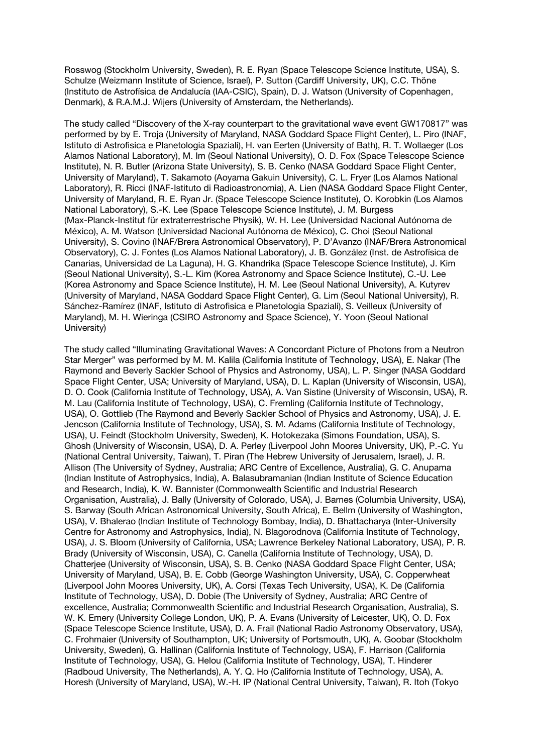Rosswog (Stockholm University, Sweden), R. E. Ryan (Space Telescope Science Institute, USA), S. Schulze (Weizmann Institute of Science, Israel), P. Sutton (Cardiff University, UK), C.C. Thöne (Instituto de Astrofísica de Andalucía (IAA-CSIC), Spain), D. J. Watson (University of Copenhagen, Denmark), & R.A.M.J. Wijers (University of Amsterdam, the Netherlands).

The study called "Discovery of the X-ray counterpart to the gravitational wave event GW170817" was performed by by E. Troja (University of Maryland, NASA Goddard Space Flight Center), L. Piro (INAF, Istituto di Astrofisica e Planetologia Spaziali), H. van Eerten (University of Bath), R. T. Wollaeger (Los Alamos National Laboratory), M. Im (Seoul National University), O. D. Fox (Space Telescope Science Institute), N. R. Butler (Arizona State University), S. B. Cenko (NASA Goddard Space Flight Center, University of Maryland), T. Sakamoto (Aoyama Gakuin University), C. L. Fryer (Los Alamos National Laboratory), R. Ricci (INAF-Istituto di Radioastronomia), A. Lien (NASA Goddard Space Flight Center, University of Maryland, R. E. Ryan Jr. (Space Telescope Science Institute), O. Korobkin (Los Alamos National Laboratory), S.-K. Lee (Space Telescope Science Institute), J. M. Burgess (Max-Planck-Institut für extraterrestrische Physik), W. H. Lee (Universidad Nacional Autónoma de México), A. M. Watson (Universidad Nacional Autónoma de México), C. Choi (Seoul National University), S. Covino (INAF/Brera Astronomical Observatory), P. D'Avanzo (INAF/Brera Astronomical Observatory), C. J. Fontes (Los Alamos National Laboratory), J. B. González (Inst. de Astrofísica de Canarias, Universidad de La Laguna), H. G. Khandrika (Space Telescope Science Institute), J. Kim (Seoul National University), S.-L. Kim (Korea Astronomy and Space Science Institute), C.-U. Lee (Korea Astronomy and Space Science Institute), H. M. Lee (Seoul National University), A. Kutyrev (University of Maryland, NASA Goddard Space Flight Center), G. Lim (Seoul National University), R. Sánchez-Ramírez (INAF, Istituto di Astrofisica e Planetologia Spaziali), S. Veilleux (University of Maryland), M. H. Wieringa (CSIRO Astronomy and Space Science), Y. Yoon (Seoul National University)

The study called "Illuminating Gravitational Waves: A Concordant Picture of Photons from a Neutron Star Merger" was performed by M. M. Kalila (California Institute of Technology, USA), E. Nakar (The Raymond and Beverly Sackler School of Physics and Astronomy, USA), L. P. Singer (NASA Goddard Space Flight Center, USA; University of Maryland, USA), D. L. Kaplan (University of Wisconsin, USA), D. O. Cook (California Institute of Technology, USA), A. Van Sistine (University of Wisconsin, USA), R. M. Lau (California Institute of Technology, USA), C. Fremling (California Institute of Technology, USA), O. Gottlieb (The Raymond and Beverly Sackler School of Physics and Astronomy, USA), J. E. Jencson (California Institute of Technology, USA), S. M. Adams (California Institute of Technology, USA), U. Feindt (Stockholm University, Sweden), K. Hotokezaka (Simons Foundation, USA), S. Ghosh (University of Wisconsin, USA), D. A. Perley (Liverpool John Moores University, UK), P.-C. Yu (National Central University, Taiwan), T. Piran (The Hebrew University of Jerusalem, Israel), J. R. Allison (The University of Sydney, Australia; ARC Centre of Excellence, Australia), G. C. Anupama (Indian Institute of Astrophysics, India), A. Balasubramanian (Indian Institute of Science Education and Research, India), K. W. Bannister (Commonwealth Scientific and Industrial Research Organisation, Australia), J. Bally (University of Colorado, USA), J. Barnes (Columbia University, USA), S. Barway (South African Astronomical University, South Africa), E. Bellm (University of Washington, USA), V. Bhalerao (Indian Institute of Technology Bombay, India), D. Bhattacharya (Inter-University Centre for Astronomy and Astrophysics, India), N. Blagorodnova (California Institute of Technology, USA), J. S. Bloom (University of California, USA; Lawrence Berkeley National Laboratory, USA), P. R. Brady (University of Wisconsin, USA), C. Canella (California Institute of Technology, USA), D. Chatterjee (University of Wisconsin, USA), S. B. Cenko (NASA Goddard Space Flight Center, USA; University of Maryland, USA), B. E. Cobb (George Washington University, USA), C. Copperwheat (Liverpool John Moores University, UK), A. Corsi (Texas Tech University, USA), K. De (California Institute of Technology, USA), D. Dobie (The University of Sydney, Australia; ARC Centre of excellence, Australia; Commonwealth Scientific and Industrial Research Organisation, Australia), S. W. K. Emery (University College London, UK), P. A. Evans (University of Leicester, UK), O. D. Fox (Space Telescope Science Institute, USA), D. A. Frail (National Radio Astronomy Observatory, USA), C. Frohmaier (University of Southampton, UK; University of Portsmouth, UK), A. Goobar (Stockholm University, Sweden), G. Hallinan (California Institute of Technology, USA), F. Harrison (California Institute of Technology, USA), G. Helou (California Institute of Technology, USA), T. Hinderer (Radboud University, The Netherlands), A. Y. Q. Ho (California Institute of Technology, USA), A. Horesh (University of Maryland, USA), W.-H. IP (National Central University, Taiwan), R. Itoh (Tokyo